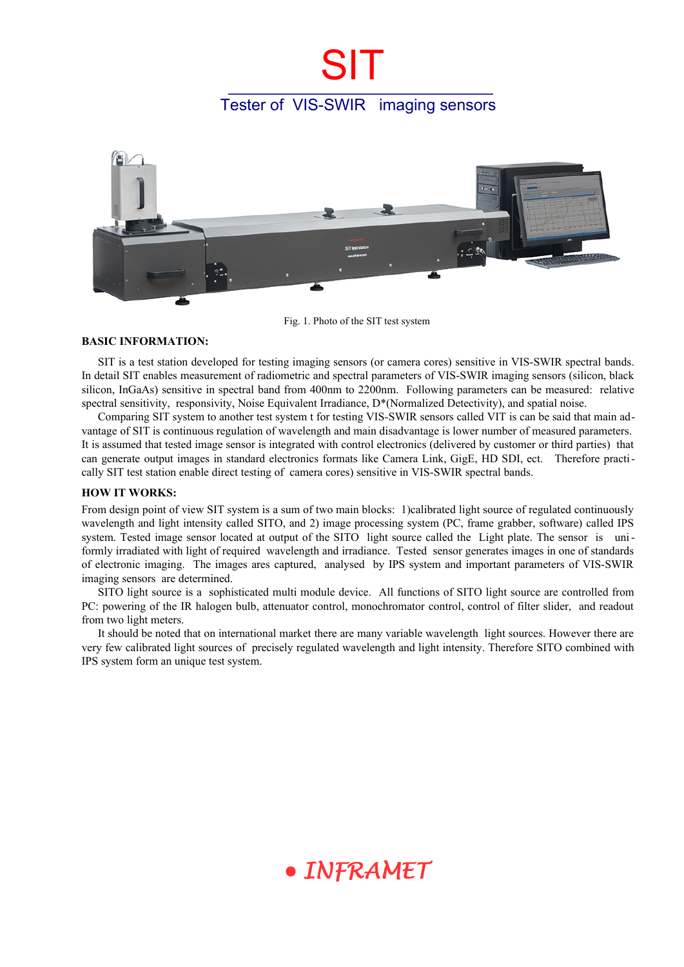## Tester of VIS-SWIR imaging sensors

**SIT** 



Fig. 1. Photo of the SIT test system

### **BASIC INFORMATION:**

SIT is a test station developed for testing imaging sensors (or camera cores) sensitive in VIS-SWIR spectral bands. In detail SIT enables measurement of radiometric and spectral parameters of VIS-SWIR imaging sensors (silicon, black silicon, InGaAs) sensitive in spectral band from 400nm to 2200nm. Following parameters can be measured: relative spectral sensitivity, responsivity, Noise Equivalent Irradiance, D<sup>\*</sup>(Normalized Detectivity), and spatial noise.

Comparing SIT system to another test system t for testing VIS-SWIR sensors called VIT is can be said that main advantage of SIT is continuous regulation of wavelength and main disadvantage is lower number of measured parameters. It is assumed that tested image sensor is integrated with control electronics (delivered by customer or third parties) that can generate output images in standard electronics formats like Camera Link, GigE, HD SDI, ect. Therefore practically SIT test station enable direct testing of camera cores) sensitive in VIS-SWIR spectral bands.

### **HOW IT WORKS:**

From design point of view SIT system is a sum of two main blocks: 1)calibrated light source of regulated continuously wavelength and light intensity called SITO, and 2) image processing system (PC, frame grabber, software) called IPS system. Tested image sensor located at output of the SITO light source called the Light plate. The sensor is uniformly irradiated with light of required wavelength and irradiance. Tested sensor generates images in one of standards of electronic imaging. The images ares captured, analysed by IPS system and important parameters of VIS-SWIR imaging sensors are determined.

SITO light source is a sophisticated multi module device. All functions of SITO light source are controlled from PC: powering of the IR halogen bulb, attenuator control, monochromator control, control of filter slider, and readout from two light meters.

It should be noted that on international market there are many variable wavelength light sources. However there are very few calibrated light sources of precisely regulated wavelength and light intensity. Therefore SITO combined with IPS system form an unique test system.